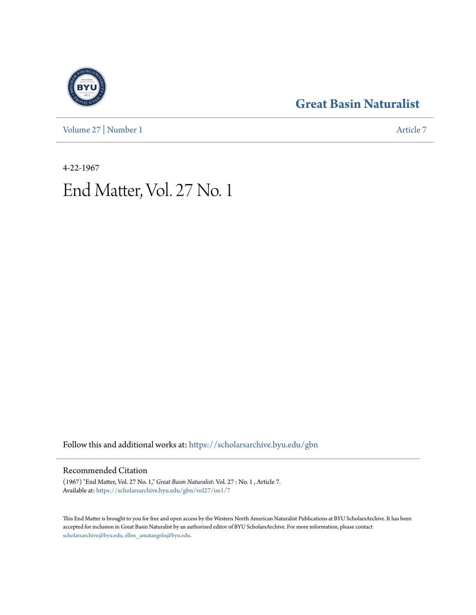[Volume 27](https://scholarsarchive.byu.edu/gbn/vol27?utm_source=scholarsarchive.byu.edu%2Fgbn%2Fvol27%2Fiss1%2F7&utm_medium=PDF&utm_campaign=PDFCoverPages) | [Number 1](https://scholarsarchive.byu.edu/gbn/vol27/iss1?utm_source=scholarsarchive.byu.edu%2Fgbn%2Fvol27%2Fiss1%2F7&utm_medium=PDF&utm_campaign=PDFCoverPages) [Article 7](https://scholarsarchive.byu.edu/gbn/vol27/iss1/7?utm_source=scholarsarchive.byu.edu%2Fgbn%2Fvol27%2Fiss1%2F7&utm_medium=PDF&utm_campaign=PDFCoverPages)

# **[Great Basin Naturalist](https://scholarsarchive.byu.edu/gbn?utm_source=scholarsarchive.byu.edu%2Fgbn%2Fvol27%2Fiss1%2F7&utm_medium=PDF&utm_campaign=PDFCoverPages)**

4-22-1967 End Matter, Vol. 27 No. 1

Follow this and additional works at: [https://scholarsarchive.byu.edu/gbn](https://scholarsarchive.byu.edu/gbn?utm_source=scholarsarchive.byu.edu%2Fgbn%2Fvol27%2Fiss1%2F7&utm_medium=PDF&utm_campaign=PDFCoverPages)

## Recommended Citation

(1967) "End Matter, Vol. 27 No. 1," *Great Basin Naturalist*: Vol. 27 : No. 1 , Article 7. Available at: [https://scholarsarchive.byu.edu/gbn/vol27/iss1/7](https://scholarsarchive.byu.edu/gbn/vol27/iss1/7?utm_source=scholarsarchive.byu.edu%2Fgbn%2Fvol27%2Fiss1%2F7&utm_medium=PDF&utm_campaign=PDFCoverPages)

This End Matter is brought to you for free and open access by the Western North American Naturalist Publications at BYU ScholarsArchive. It has been accepted for inclusion in Great Basin Naturalist by an authorized editor of BYU ScholarsArchive. For more information, please contact [scholarsarchive@byu.edu, ellen\\_amatangelo@byu.edu.](mailto:scholarsarchive@byu.edu,%20ellen_amatangelo@byu.edu)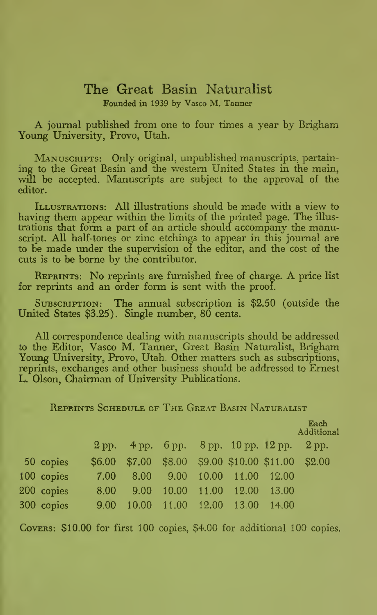## The Great Basin Naturalist Founded in 1939 by Vasco M. Tanner

A journal published from one to four times <sup>a</sup> year by Brigham Young University, Provo, Utah.

MANUSCRIPTS: Only original, unpublished manuscripts, pertaining to the Great Basin and the western United States in the main, will be accepted. Manuscripts are subject to the approval of the editor.

ILLUSTRATIONS: All illustrations should be made with a view to having them appear within the limits of the printed page. The illustrations that form a part of an article should accompany the manuscript. All half-tones or zinc etchings to appear in this journal are to be made under the supervision of the editor, and the cost of the cuts is to be borne by the contributor.

Reprints: No reprints are furnished free of charge. A price list for reprints and an order form is sent with the proof.

SUBSCRIPTION: The annual subscription is \$2.50 (outside the United States \$3.25). Single number, 80 cents.

All correspondence dealing with manuscripts should be addressed to the Editor, Vasco M. Tanner, Great Basin Naturalist, Brigham Young University, Provo, Utah. Other matters such as subscriptions, reprints, exchanges and other business should be addressed to Ernest L. Olson, Chairman of University Publications.

Reprints Schedule of The Great Basin Naturalist

|            |         |       |  |                                       |       | Each<br>Additional                                 |
|------------|---------|-------|--|---------------------------------------|-------|----------------------------------------------------|
|            | $2$ pp. |       |  | 4 pp. 6 pp. 8 pp. 10 pp. 12 pp. 2 pp. |       |                                                    |
| 50 copies  |         |       |  |                                       |       | \$6.00 \$7.00 \$8.00 \$9.00 \$10.00 \$11.00 \$2.00 |
| 100 copies | 7.00    |       |  | 8.00 9.00 10.00 11.00 12.00           |       |                                                    |
| 200 copies | 8.00    | 9.00  |  | 10.00 11.00 12.00                     | 13.00 |                                                    |
| 300 copies | 9.00    | 10.00 |  | 11.00 12.00 13.00                     | 14.00 |                                                    |

Covers: \$10.00 for first 100 copies, \$4.00 for additional 100 copies.